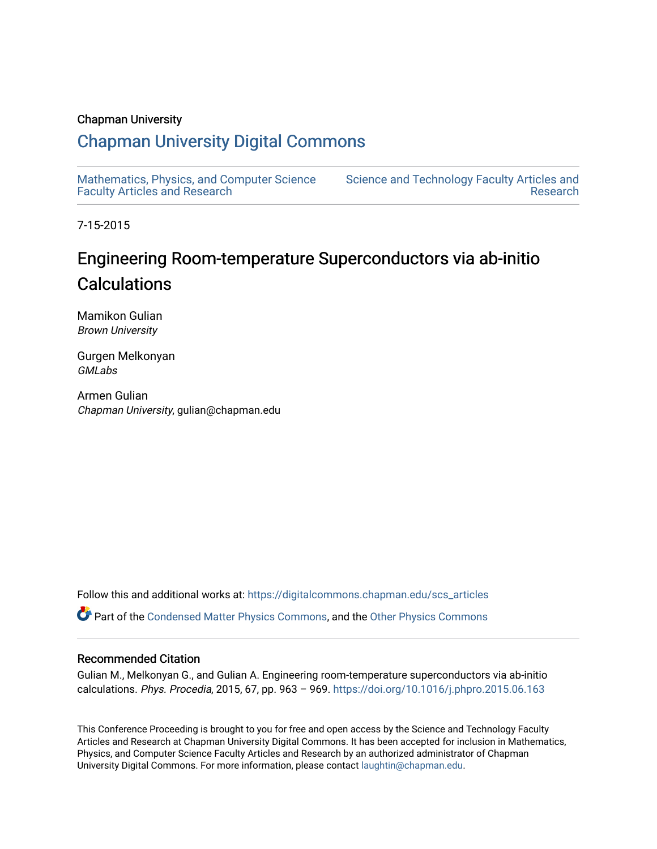### Chapman University

## [Chapman University Digital Commons](https://digitalcommons.chapman.edu/)

[Mathematics, Physics, and Computer Science](https://digitalcommons.chapman.edu/scs_articles)  [Faculty Articles and Research](https://digitalcommons.chapman.edu/scs_articles)

[Science and Technology Faculty Articles and](https://digitalcommons.chapman.edu/science_articles)  [Research](https://digitalcommons.chapman.edu/science_articles) 

7-15-2015

# Engineering Room-temperature Superconductors via ab-initio **Calculations**

Mamikon Gulian Brown University

Gurgen Melkonyan GMLabs

Armen Gulian Chapman University, gulian@chapman.edu

Follow this and additional works at: [https://digitalcommons.chapman.edu/scs\\_articles](https://digitalcommons.chapman.edu/scs_articles?utm_source=digitalcommons.chapman.edu%2Fscs_articles%2F752&utm_medium=PDF&utm_campaign=PDFCoverPages) 

**C** Part of the [Condensed Matter Physics Commons,](http://network.bepress.com/hgg/discipline/197?utm_source=digitalcommons.chapman.edu%2Fscs_articles%2F752&utm_medium=PDF&utm_campaign=PDFCoverPages) and the Other Physics Commons

#### Recommended Citation

Gulian M., Melkonyan G., and Gulian A. Engineering room-temperature superconductors via ab-initio calculations. Phys. Procedia, 2015, 67, pp. 963 – 969. <https://doi.org/10.1016/j.phpro.2015.06.163>

This Conference Proceeding is brought to you for free and open access by the Science and Technology Faculty Articles and Research at Chapman University Digital Commons. It has been accepted for inclusion in Mathematics, Physics, and Computer Science Faculty Articles and Research by an authorized administrator of Chapman University Digital Commons. For more information, please contact [laughtin@chapman.edu.](mailto:laughtin@chapman.edu)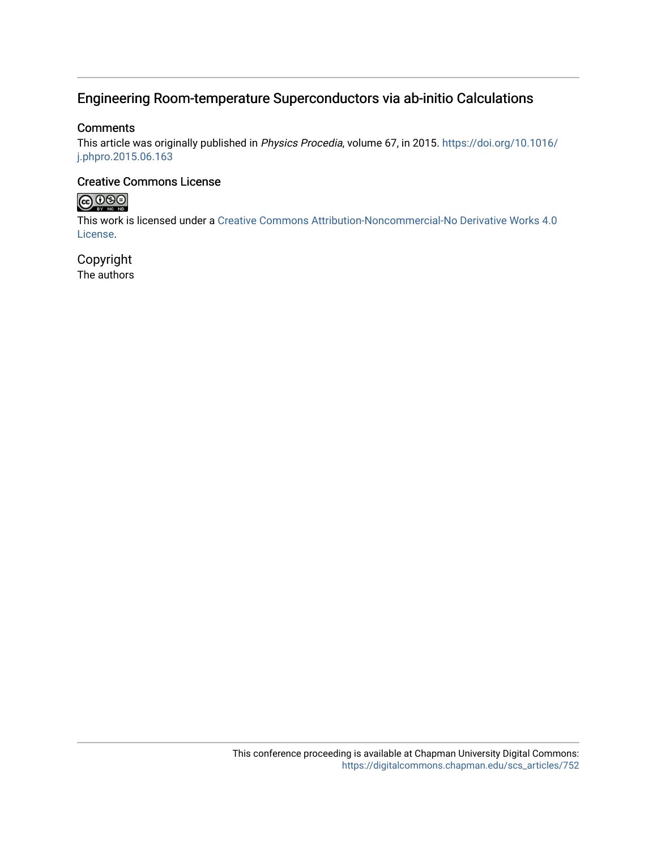## Engineering Room-temperature Superconductors via ab-initio Calculations

## **Comments**

This article was originally published in Physics Procedia, volume 67, in 2015. [https://doi.org/10.1016/](https://doi.org/10.1016/j.phpro.2015.06.163) [j.phpro.2015.06.163](https://doi.org/10.1016/j.phpro.2015.06.163)

## Creative Commons License



This work is licensed under a [Creative Commons Attribution-Noncommercial-No Derivative Works 4.0](https://creativecommons.org/licenses/by-nc-nd/4.0/) [License](https://creativecommons.org/licenses/by-nc-nd/4.0/).

Copyright The authors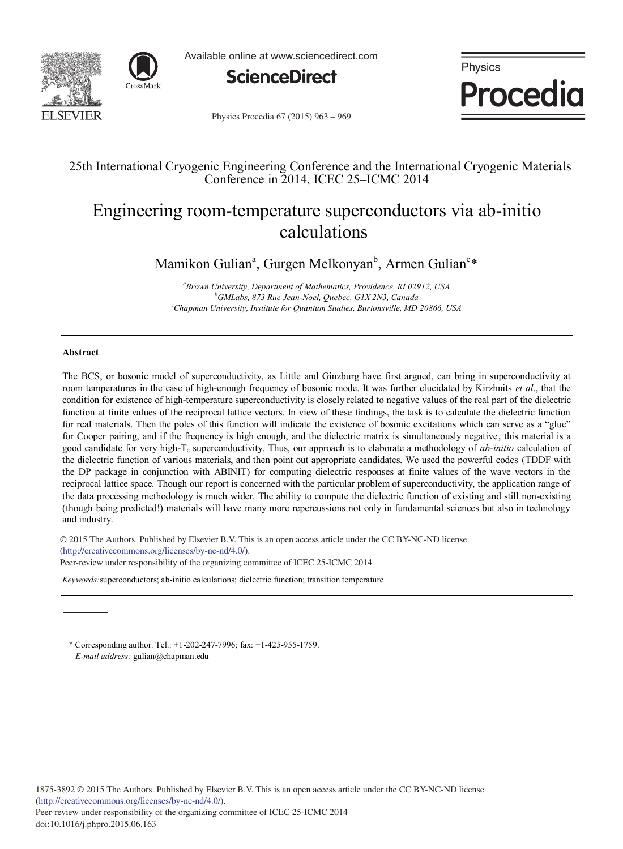



Available online at www.sciencedirect.com



Physics **Procedia** 

Physics Procedia 67 (2015) 963 - 969

## 25th International Cryogenic Engineering Conference and the International Cryogenic Materials Conference in 2014, ICEC 25–ICMC 2014

## Engineering room-temperature superconductors via ab-initio calculations

Mamikon Gulian<sup>a</sup>, Gurgen Melkonyan<sup>b</sup>, Armen Gulian<sup>c</sup>\*

*a Brown University, Department of Mathematics, Providence, RI 02912, USA b GMLabs, 873 Rue Jean-Noel, Quebec, G1X 2N3, Canada c Chapman University, Institute for Quantum Studies, Burtonsville, MD 20866, USA*

#### **Abstract**

The BCS, or bosonic model of superconductivity, as Little and Ginzburg have first argued, can bring in superconductivity at room temperatures in the case of high-enough frequency of bosonic mode. It was further elucidated by Kirzhnits *et al*., that the condition for existence of high-temperature superconductivity is closely related to negative values of the real part of the dielectric function at finite values of the reciprocal lattice vectors. In view of these findings, the task is to calculate the dielectric function for real materials. Then the poles of this function will indicate the existence of bosonic excitations which can serve as a "glue" for Cooper pairing, and if the frequency is high enough, and the dielectric matrix is simultaneously negative, this material is a good candidate for very high-Tc superconductivity. Thus, our approach is to elaborate a methodology of *ab-initio* calculation of the dielectric function of various materials, and then point out appropriate candidates. We used the powerful codes (TDDF with the DP package in conjunction with ABINIT) for computing dielectric responses at finite values of the wave vectors in the reciprocal lattice space. Though our report is concerned with the particular problem of superconductivity, the application range of the data processing methodology is much wider. The ability to compute the dielectric function of existing and still non-existing (though being predicted!) materials will have many more repercussions not only in fundamental sciences but also in technology and industry.

© 2014 The Authors. Published by Elsevier B.V. © 2015 The Authors. Published by Elsevier B.V. This is an open access article under the CC BY-NC-ND license Peer-review under responsibility of the organizing committee of ICEC 25-ICMC 2014. Peer-review under responsibility of the organizing committee of ICEC 25-ICMC 2014(http://creativecommons.org/licenses/by-nc-nd/4.0/).

*Keywords:*superconductors; ab-initio calculations; dielectric function; transition temperature

\* Corresponding author. Tel.: +1-202-247-7996; fax: +1-425-955-1759. *E-mail address:* gulian@chapman.edu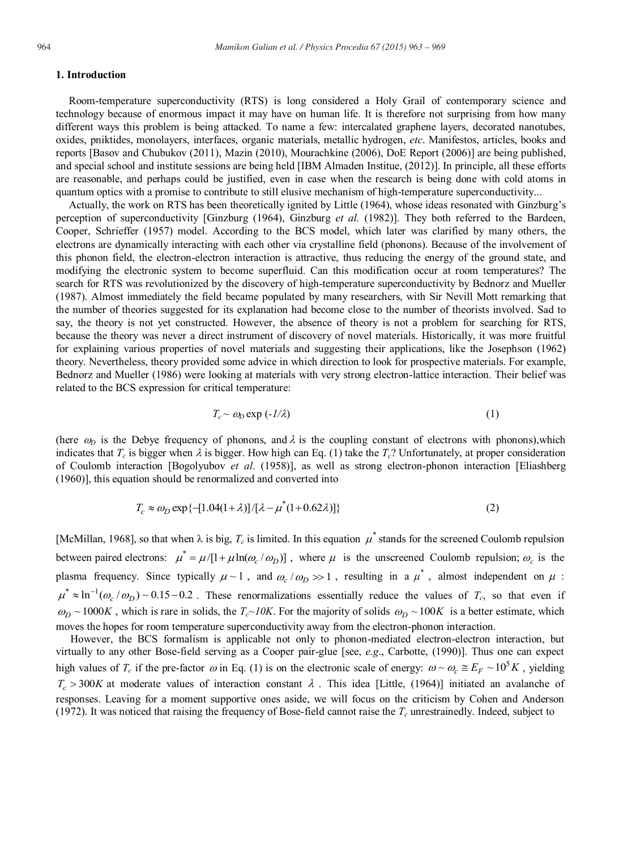#### **1. Introduction**

Room-temperature superconductivity (RTS) is long considered a Holy Grail of contemporary science and technology because of enormous impact it may have on human life. It is therefore not surprising from how many different ways this problem is being attacked. To name a few: intercalated graphene layers, decorated nanotubes, oxides, pniktides, monolayers, interfaces, organic materials, metallic hydrogen, *etc*. Manifestos, articles, books and reports [Basov and Chubukov (2011), Mazin (2010), Mourachkine (2006), DoE Report (2006)] are being published, and special school and institute sessions are being held [IBM Almaden Institue, (2012)]. In principle, all these efforts are reasonable, and perhaps could be justified, even in case when the research is being done with cold atoms in quantum optics with a promise to contribute to still elusive mechanism of high-temperature superconductivity...

Actually, the work on RTS has been theoretically ignited by Little (1964), whose ideas resonated with Ginzburg's perception of superconductivity [Ginzburg (1964), Ginzburg *et al.* (1982)]. They both referred to the Bardeen, Cooper, Schrieffer (1957) model. According to the BCS model, which later was clarified by many others, the electrons are dynamically interacting with each other via crystalline field (phonons). Because of the involvement of this phonon field, the electron-electron interaction is attractive, thus reducing the energy of the ground state, and modifying the electronic system to become superfluid. Can this modification occur at room temperatures? The search for RTS was revolutionized by the discovery of high-temperature superconductivity by Bednorz and Mueller (1987). Almost immediately the field became populated by many researchers, with Sir Nevill Mott remarking that the number of theories suggested for its explanation had become close to the number of theorists involved. Sad to say, the theory is not yet constructed. However, the absence of theory is not a problem for searching for RTS, because the theory was never a direct instrument of discovery of novel materials. Historically, it was more fruitful for explaining various properties of novel materials and suggesting their applications, like the Josephson (1962) theory. Nevertheless, theory provided some advice in which direction to look for prospective materials. For example, Bednorz and Mueller (1986) were looking at materials with very strong electron-lattice interaction. Their belief was related to the BCS expression for critical temperature:

$$
T_c \sim \omega_D \exp\left(-l/\lambda\right) \tag{1}
$$

(here  $\omega_D$  is the Debye frequency of phonons, and  $\lambda$  is the coupling constant of electrons with phonons), which indicates that  $T_c$  is bigger when  $\lambda$  is bigger. How high can Eq. (1) take the  $T_c$ ? Unfortunately, at proper consideration of Coulomb interaction [Bogolyubov *et al.* (1958)], as well as strong electron-phonon interaction [Eliashberg (1960)], this equation should be renormalized and converted into

$$
T_c \approx \omega_D \exp\{-[1.04(1+\lambda)]/[\lambda - \mu^*(1+0.62\lambda)]\}\tag{2}
$$

[McMillan, 1968], so that when  $\lambda$  is big,  $T_c$  is limited. In this equation  $\mu^*$  stands for the screened Coulomb repulsion between paired electrons:  $\mu^* = \mu/[1 + \mu \ln(\omega_c/\omega_D)]$ , where  $\mu$  is the unscreened Coulomb repulsion;  $\omega_c$  is the plasma frequency. Since typically  $\mu \sim 1$ , and  $\omega_c / \omega_D >> 1$ , resulting in a  $\mu^*$ , almost independent on  $\mu$ :  $\mu^* \approx \ln^{-1}(\omega_c/\omega_D) \sim 0.15 - 0.2$ . These renormalizations essentially reduce the values of  $T_c$ , so that even if  $\omega_D \sim 1000K$ , which is rare in solids, the  $T_c \sim 10K$ . For the majority of solids  $\omega_D \sim 100K$  is a better estimate, which moves the hopes for room temperature superconductivity away from the electron-phonon interaction.

However, the BCS formalism is applicable not only to phonon-mediated electron-electron interaction, but virtually to any other Bose-field serving as a Cooper pair-glue [see, *e.g*., Carbotte, (1990)]. Thus one can expect high values of  $T_c$  if the pre-factor  $\omega$  in Eq. (1) is on the electronic scale of energy:  $\omega \sim \omega_c \approx E_F \sim 10^5 K$ , yielding  $T_c > 300K$  at moderate values of interaction constant  $\lambda$ . This idea [Little, (1964)] initiated an avalanche of responses. Leaving for a moment supportive ones aside, we will focus on the criticism by Cohen and Anderson (1972). It was noticed that raising the frequency of Bose-field cannot raise the  $T_c$  unrestrainedly. Indeed, subject to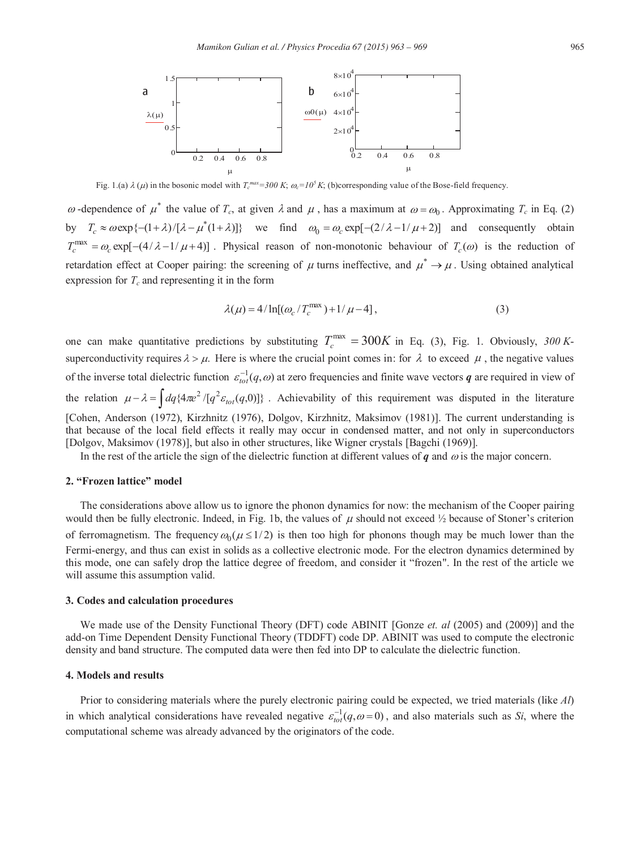

Fig. 1.(a)  $\lambda(\mu)$  in the bosonic model with  $T_c^{max}=300$  K;  $\omega_c=10^5$  K; (b)corresponding value of the Bose-field frequency.

 $\omega$ -dependence of  $\mu^*$  the value of  $T_c$ , at given  $\lambda$  and  $\mu$ , has a maximum at  $\omega = \omega_0$ . Approximating  $T_c$  in Eq. (2) by  $T_c \approx \omega \exp\{-(1+\lambda)/[\lambda-\mu^*(1+\lambda)]\}$  we find  $\omega_0 = \omega_c \exp[-(2/\lambda-1/\mu+2)]$  and consequently obtain  $T_c^{\text{max}} = \omega_c \exp[-(4/\lambda - 1/\mu + 4)]$ . Physical reason of non-monotonic behaviour of  $T_c(\omega)$  is the reduction of retardation effect at Cooper pairing: the screening of  $\mu$  turns ineffective, and  $\mu^* \to \mu$ . Using obtained analytical expression for  $T_c$  and representing it in the form

$$
\lambda(\mu) = 4/\ln[(\omega_c/T_c^{\text{max}}) + 1/\mu - 4],
$$
\n(3)

one can make quantitative predictions by substituting  $T_c^{\text{max}} = 300K$  in Eq. (3), Fig. 1. Obviously, 300 Ksuperconductivity requires  $\lambda > \mu$ . Here is where the crucial point comes in: for  $\lambda$  to exceed  $\mu$ , the negative values of the inverse total dielectric function  $\varepsilon_{tot}^{-1}(q,\omega)$  at zero frequencies and finite wave vectors *q* are required in view of the relation  $\mu - \lambda = \int dq \{4\pi e^2 / [q^2 \varepsilon_{tot}(q, 0)]\}$ . Achievability of this requirement was disputed in the literature [Cohen, Anderson (1972), Kirzhnitz (1976), Dolgov, Kirzhnitz, Maksimov (1981)]. The current understanding is that because of the local field effects it really may occur in condensed matter, and not only in superconductors [Dolgov, Maksimov (1978)], but also in other structures, like Wigner crystals [Bagchi (1969)].

In the rest of the article the sign of the dielectric function at different values of  $q$  and  $\omega$  is the major concern.

#### **2. "Frozen lattice" model**

The considerations above allow us to ignore the phonon dynamics for now: the mechanism of the Cooper pairing would then be fully electronic. Indeed, in Fig. 1b, the values of  $\mu$  should not exceed  $\frac{1}{2}$  because of Stoner's criterion of ferromagnetism. The frequency  $\omega_0(\mu \leq 1/2)$  is then too high for phonons though may be much lower than the Fermi-energy, and thus can exist in solids as a collective electronic mode. For the electron dynamics determined by this mode, one can safely drop the lattice degree of freedom, and consider it "frozen". In the rest of the article we will assume this assumption valid.

#### **3. Codes and calculation procedures**

We made use of the Density Functional Theory (DFT) code ABINIT [Gonze *et. al* (2005) and (2009)] and the add-on Time Dependent Density Functional Theory (TDDFT) code DP. ABINIT was used to compute the electronic density and band structure. The computed data were then fed into DP to calculate the dielectric function.

#### **4. Models and results**

Prior to considering materials where the purely electronic pairing could be expected, we tried materials (like *Al*) in which analytical considerations have revealed negative  $\varepsilon_{tot}^{-1}(q, \omega = 0)$ , and also materials such as *Si*, where the computational scheme was already advanced by the originators of the code.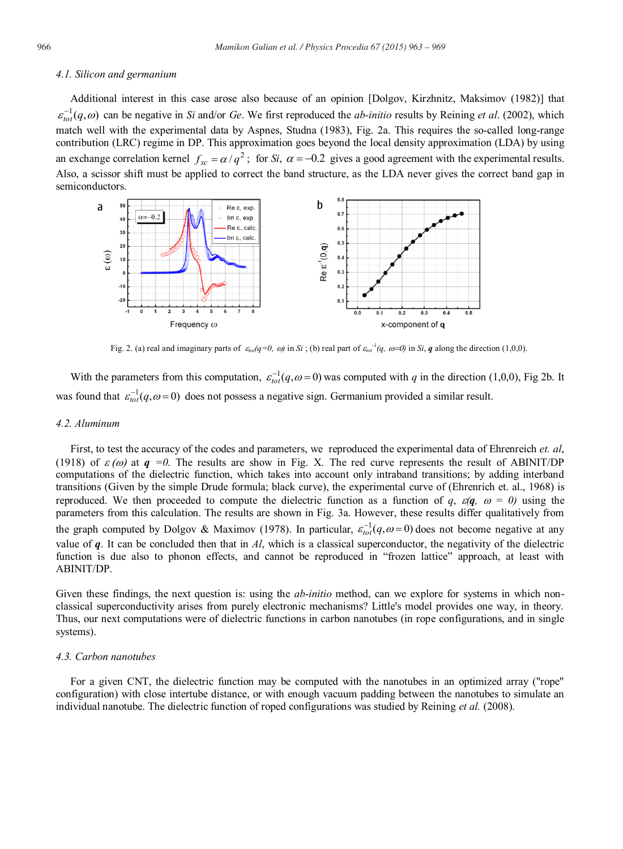#### *4.1. Silicon and germanium*

Additional interest in this case arose also because of an opinion [Dolgov, Kirzhnitz, Maksimov (1982)] that  $\varepsilon_{tot}^{-1}(q,\omega)$  can be negative in *Si* and/or *Ge*. We first reproduced the *ab-initio* results by Reining *et al.* (2002), which match well with the experimental data by Aspnes, Studna (1983), Fig. 2a. This requires the so-called long-range contribution (LRC) regime in DP. This approximation goes beyond the local density approximation (LDA) by using an exchange correlation kernel  $f_{xc} = \alpha / q^2$ ; for *Si*,  $\alpha = -0.2$  gives a good agreement with the experimental results. Also, a scissor shift must be applied to correct the band structure, as the LDA never gives the correct band gap in semiconductors.



Fig. 2. (a) real and imaginary parts of  $\varepsilon_{\text{tot}}(q=0, \omega)$  in *Si*; (b) real part of  $\varepsilon_{\text{tot}}^1(q, \omega=0)$  in *Si*, *q* along the direction (1,0,0).

With the parameters from this computation,  $\varepsilon_{tot}^{-1}(q, \omega = 0)$  was computed with *q* in the direction (1,0,0), Fig 2b. It was found that  $\varepsilon_{tot}^{-1}(q, \omega = 0)$  does not possess a negative sign. Germanium provided a similar result.

#### *4.2. Aluminum*

First, to test the accuracy of the codes and parameters, we reproduced the experimental data of Ehrenreich *et. al*, (1918) of  $\varepsilon$  ( $\omega$ ) at  $q = 0$ . The results are show in Fig. X. The red curve represents the result of ABINIT/DP computations of the dielectric function, which takes into account only intraband transitions; by adding interband transitions (Given by the simple Drude formula; black curve), the experimental curve of (Ehrenrich et. al., 1968) is reproduced. We then proceeded to compute the dielectric function as a function of *q*,  $\varepsilon(\mathbf{q}, \omega = 0)$  using the parameters from this calculation. The results are shown in Fig. 3a. However, these results differ qualitatively from the graph computed by Dolgov & Maximov (1978). In particular,  $\varepsilon_{tot}^{-1}(q, \omega = 0)$  does not become negative at any value of *q*. It can be concluded then that in *Al*, which is a classical superconductor, the negativity of the dielectric function is due also to phonon effects, and cannot be reproduced in "frozen lattice" approach, at least with ABINIT/DP.

Given these findings, the next question is: using the *ab-initio* method, can we explore for systems in which nonclassical superconductivity arises from purely electronic mechanisms? Little's model provides one way, in theory. Thus, our next computations were of dielectric functions in carbon nanotubes (in rope configurations, and in single systems).

#### *4.3. Carbon nanotubes*

For a given CNT, the dielectric function may be computed with the nanotubes in an optimized array ("rope'' configuration) with close intertube distance, or with enough vacuum padding between the nanotubes to simulate an individual nanotube. The dielectric function of roped configurations was studied by Reining *et al.* (2008).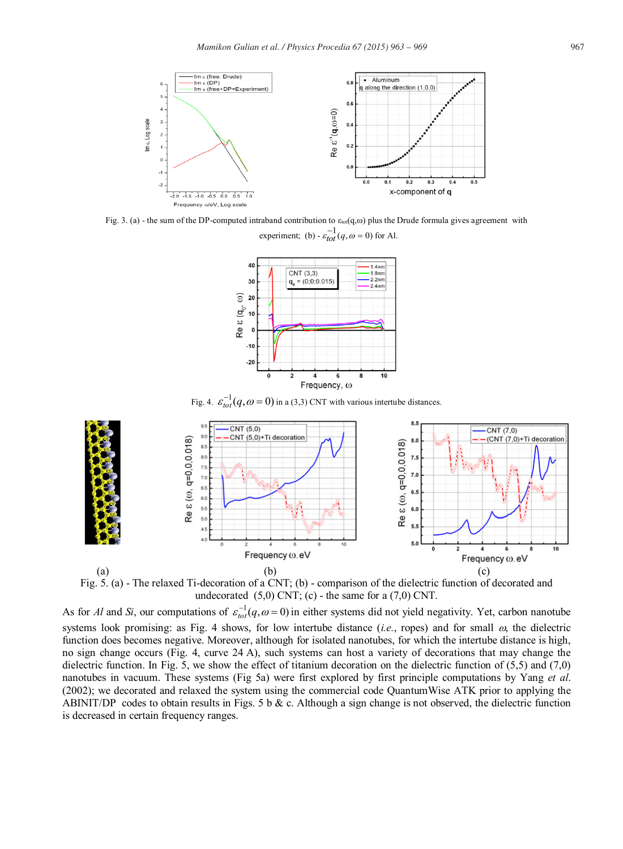

Fig. 3. (a) - the sum of the DP-computed intraband contribution to  $\varepsilon_{tot}(q,\omega)$  plus the Drude formula gives agreement with experiment; (b)  $\epsilon_{tot}^{-1}(q, \omega = 0)$  for Al.



Fig. 4.  $\varepsilon_{tot}^{-1}(q, \omega = 0)$  in a (3,3) CNT with various intertube distances.





As for *Al* and *Si*, our computations of  $\varepsilon_{tot}^{-1}(q, \omega = 0)$  in either systems did not yield negativity. Yet, carbon nanotube systems look promising: as Fig. 4 shows, for low intertube distance (*i.e.*, ropes) and for small  $\omega$ , the dielectric function does becomes negative. Moreover, although for isolated nanotubes, for which the intertube distance is high, no sign change occurs (Fig. 4, curve 24 A), such systems can host a variety of decorations that may change the dielectric function. In Fig. 5, we show the effect of titanium decoration on the dielectric function of (5,5) and (7,0) nanotubes in vacuum. These systems (Fig 5a) were first explored by first principle computations by Yang *et al*. (2002); we decorated and relaxed the system using the commercial code QuantumWise ATK prior to applying the ABINIT/DP codes to obtain results in Figs. 5 b  $\&$  c. Although a sign change is not observed, the dielectric function is decreased in certain frequency ranges.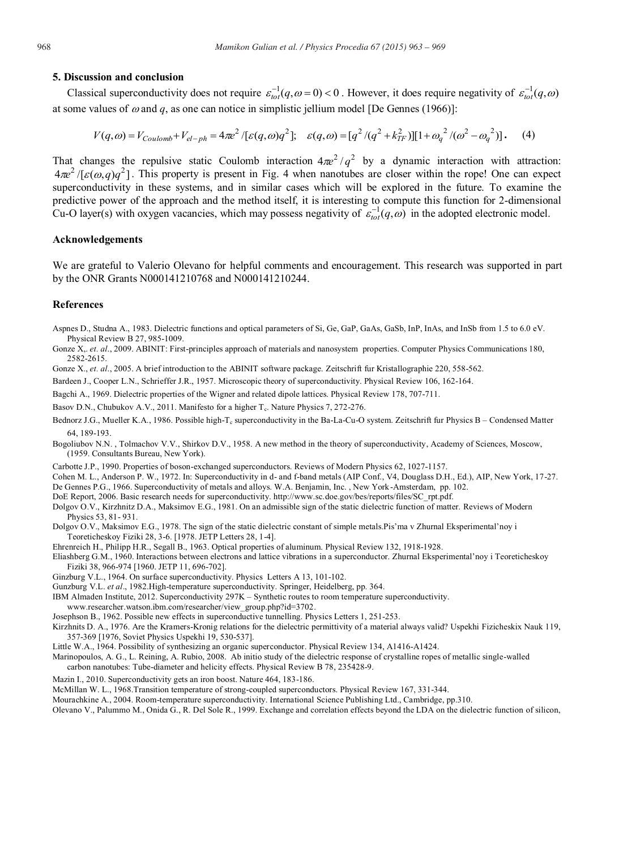#### **5. Discussion and conclusion**

Classical superconductivity does not require  $\varepsilon_{tot}^{-1}(q,\omega=0) < 0$ . However, it does require negativity of  $\varepsilon_{tot}^{-1}(q,\omega)$ at some values of  $\omega$  and  $\alpha$ , as one can notice in simplistic jellium model [De Gennes (1966)]:

$$
V(q,\omega) = V_{Coulomb} + V_{el-ph} = 4\pi e^2 / [ \varepsilon(q,\omega) q^2]; \quad \varepsilon(q,\omega) = [q^2 / (q^2 + k_{TF}^2)][1 + \omega_q^2 / (\omega^2 - \omega_q^2)]. \tag{4}
$$

That changes the repulsive static Coulomb interaction  $4\pi e^2/q^2$  by a dynamic interaction with attraction:  $4\pi e^2$  /[ $\varepsilon(\omega, a)a^2$ ]. This property is present in Fig. 4 when nanotubes are closer within the rope! One can expect superconductivity in these systems, and in similar cases which will be explored in the future. To examine the predictive power of the approach and the method itself, it is interesting to compute this function for 2-dimensional Cu-O layer(s) with oxygen vacancies, which may possess negativity of  $\varepsilon_{tot}^{-1}(q,\omega)$  in the adopted electronic model.

#### **Acknowledgements**

We are grateful to Valerio Olevano for helpful comments and encouragement. This research was supported in part by the ONR Grants N000141210768 and N000141210244.

#### **References**

- Aspnes D., Studna A., 1983. Dielectric functions and optical parameters of Si, Ge, GaP, GaAs, GaSb, InP, InAs, and InSb from 1.5 to 6.0 eV. Physical Review B 27, 985-1009.
- Gonze X,. *et. al.*, 2009. ABINIT: First-principles approach of materials and nanosystem properties. Computer Physics Communications 180, 2582-2615.
- Gonze X., *et. al*., 2005. A brief introduction to the ABINIT software package. Zeitschrift fur Kristallographie 220, 558-562.

Bardeen J., Cooper L.N., Schrieffer J.R., 1957. Microscopic theory of superconductivity. Physical Review 106, 162-164.

Bagchi A., 1969. Dielectric properties of the Wigner and related dipole lattices. Physical Review 178, 707-711.

Basov D.N., Chubukov A.V., 2011. Manifesto for a higher  $T_c$ . Nature Physics 7, 272-276.

Bednorz J.G., Mueller K.A., 1986. Possible high-Tc superconductivity in the Ba-La-Cu-O system. Zeitschrift fur Physics B – Condensed Matter 64, 189-193.

Bogoliubov N.N. , Tolmachov V.V., Shirkov D.V., 1958. A new method in the theory of superconductivity, Academy of Sciences, Moscow, (1959. Consultants Bureau, New York).

Carbotte J.P., 1990. Properties of boson-exchanged superconductors. Reviews of Modern Physics 62, 1027-1157.

Cohen M. L., Anderson P. W., 1972. In: Superconductivity in d- and f-band metals (AIP Conf., V4, Douglass D.H., Ed.), AIP, New York, 17-27.

De Gennes P.G., 1966. Superconductivity of metals and alloys. W.A. Benjamin, Inc. , New York-Amsterdam, pp. 102.

DoE Report, 2006. Basic research needs for superconductivity. http://www.sc.doe.gov/bes/reports/files/SC\_rpt.pdf.

- Dolgov O.V., Kirzhnitz D.A., Maksimov E.G., 1981. On an admissible sign of the static dielectric function of matter. Reviews of Modern Physics 53, 81- 931.
- Dolgov O.V., Maksimov E.G., 1978. The sign of the static dielectric constant of simple metals.Pis'ma v Zhurnal Eksperimental'noy i Teoreticheskoy Fiziki 28, 3-6. [1978. JETP Letters 28, 1-4].

Ehrenreich H., Philipp H.R., Segall B., 1963. Optical properties of aluminum. Physical Review 132, 1918-1928.

Eliashberg G.M., 1960. Interactions between electrons and lattice vibrations in a superconductor. Zhurnal Eksperimental'noy i Teoreticheskoy Fiziki 38, 966-974 [1960. JETP 11, 696-702].

Ginzburg V.L., 1964. On surface superconductivity. Physics Letters A 13, 101-102.

- Gunzburg V.L. *et al*., 1982.High-temperature superconductivity. Springer, Heidelberg, pp. 364.
- IBM Almaden Institute, 2012. Superconductivity 297K Synthetic routes to room temperature superconductivity.
	- www.researcher.watson.ibm.com/researcher/view\_group.php?id=3702.
- Josephson B., 1962. Possible new effects in superconductive tunnelling. Physics Letters 1, 251-253.
- Kirzhnits D. A., 1976. Are the Kramers-Kronig relations for the dielectric permittivity of a material always valid? Uspekhi Fizicheskix Nauk 119, 357-369 [1976, Soviet Physics Uspekhi 19, 530-537].
- Little W.A., 1964. Possibility of synthesizing an organic superconductor. Physical Review 134, A1416-A1424.
- Marinopoulos, A. G., L. Reining, A. Rubio, 2008. Ab initio study of the dielectric response of crystalline ropes of metallic single-walled carbon nanotubes: Tube-diameter and helicity effects. Physical Review B 78, 235428-9.
- Mazin I., 2010. Superconductivity gets an iron boost. Nature 464, 183-186.
- McMillan W. L., 1968.Transition temperature of strong-coupled superconductors. Physical Review 167, 331-344.

Mourachkine A., 2004. Room-temperature superconductivity. International Science Publishing Ltd., Cambridge, pp.310.

Olevano V., Palummo M., Onida G., R. Del Sole R., 1999. Exchange and correlation effects beyond the LDA on the dielectric function of silicon,